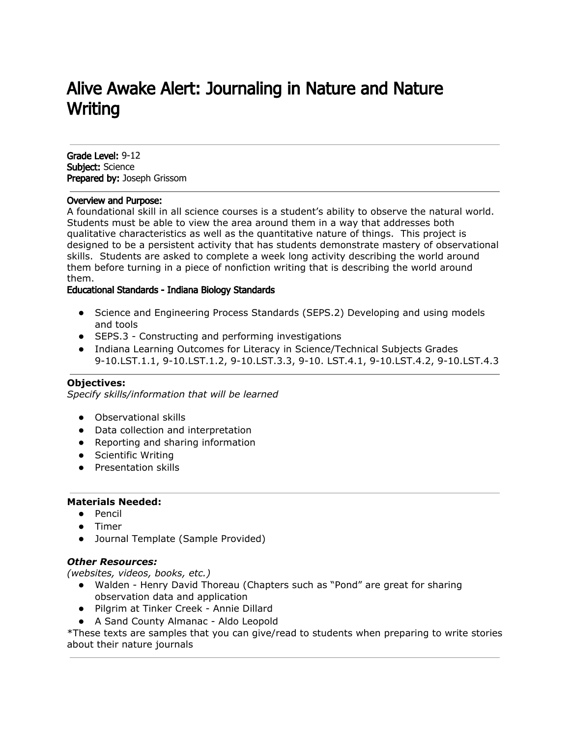# Alive Awake Alert: Journaling in Nature and Nature Writing

Grade Level: 9-12 Subject: Science Prepared by: Joseph Grissom

#### Overview and Purpose:

A foundational skill in all science courses is a student's ability to observe the natural world. Students must be able to view the area around them in a way that addresses both qualitative characteristics as well as the quantitative nature of things. This project is designed to be a persistent activity that has students demonstrate mastery of observational skills. Students are asked to complete a week long activity describing the world around them before turning in a piece of nonfiction writing that is describing the world around them.

#### Educational Standards - Indiana Biology Standards

- Science and Engineering Process Standards (SEPS.2) Developing and using models and tools
- SEPS.3 Constructing and performing investigations
- Indiana Learning Outcomes for Literacy in Science/Technical Subjects Grades 9-10.LST.1.1, 9-10.LST.1.2, 9-10.LST.3.3, 9-10. LST.4.1, 9-10.LST.4.2, 9-10.LST.4.3

## **Objectives:**

*Specify skills/information that will be learned*

- Observational skills
- Data collection and interpretation
- Reporting and sharing information
- Scientific Writing
- Presentation skills

#### **Materials Needed:**

- Pencil
- Timer
- Journal Template (Sample Provided)

#### *Other Resources:*

*(websites, videos, books, etc.)*

- Walden Henry David Thoreau (Chapters such as "Pond" are great for sharing observation data and application
- Pilgrim at Tinker Creek Annie Dillard
- A Sand County Almanac Aldo Leopold

\*These texts are samples that you can give/read to students when preparing to write stories about their nature journals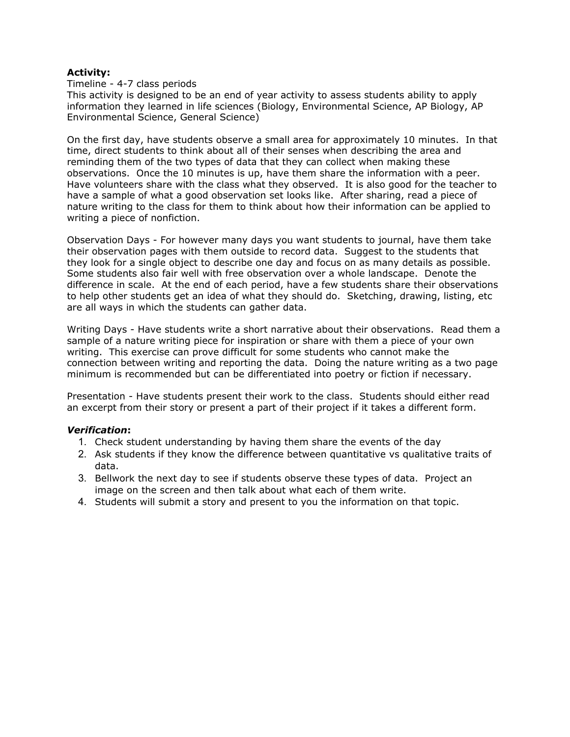## **Activity:**

Timeline - 4-7 class periods

This activity is designed to be an end of year activity to assess students ability to apply information they learned in life sciences (Biology, Environmental Science, AP Biology, AP Environmental Science, General Science)

On the first day, have students observe a small area for approximately 10 minutes. In that time, direct students to think about all of their senses when describing the area and reminding them of the two types of data that they can collect when making these observations. Once the 10 minutes is up, have them share the information with a peer. Have volunteers share with the class what they observed. It is also good for the teacher to have a sample of what a good observation set looks like. After sharing, read a piece of nature writing to the class for them to think about how their information can be applied to writing a piece of nonfiction.

Observation Days - For however many days you want students to journal, have them take their observation pages with them outside to record data. Suggest to the students that they look for a single object to describe one day and focus on as many details as possible. Some students also fair well with free observation over a whole landscape. Denote the difference in scale. At the end of each period, have a few students share their observations to help other students get an idea of what they should do. Sketching, drawing, listing, etc are all ways in which the students can gather data.

Writing Days - Have students write a short narrative about their observations. Read them a sample of a nature writing piece for inspiration or share with them a piece of your own writing. This exercise can prove difficult for some students who cannot make the connection between writing and reporting the data. Doing the nature writing as a two page minimum is recommended but can be differentiated into poetry or fiction if necessary.

Presentation - Have students present their work to the class. Students should either read an excerpt from their story or present a part of their project if it takes a different form.

# *Verification***:**

- 1. Check student understanding by having them share the events of the day
- 2. Ask students if they know the difference between quantitative vs qualitative traits of data.
- 3. Bellwork the next day to see if students observe these types of data. Project an image on the screen and then talk about what each of them write.
- 4. Students will submit a story and present to you the information on that topic.